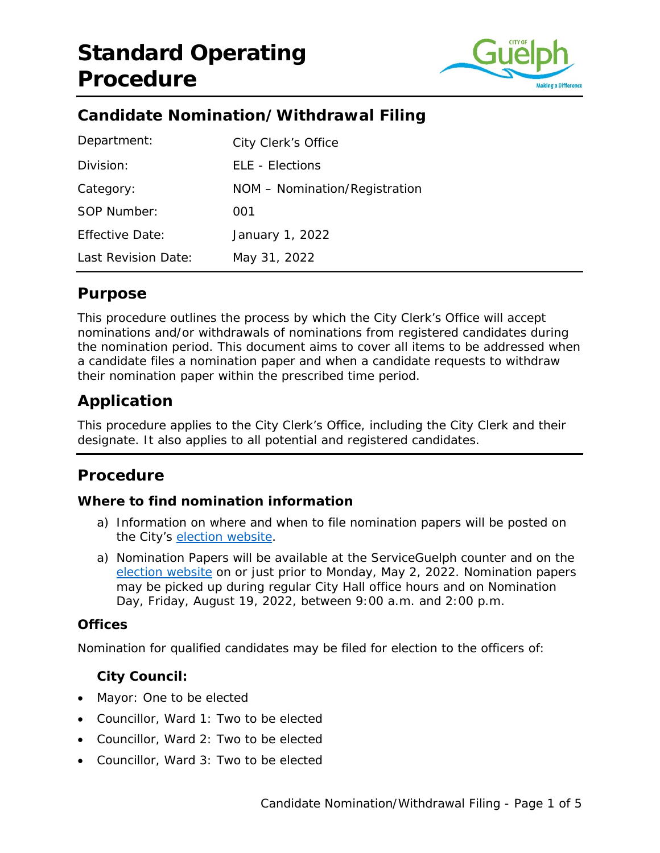

# **Candidate Nomination/Withdrawal Filing**

| Department:            | City Clerk's Office           |
|------------------------|-------------------------------|
| Division:              | <b>ELE - Elections</b>        |
| Category:              | NOM - Nomination/Registration |
| SOP Number:            | 001                           |
| <b>Effective Date:</b> | January 1, 2022               |
| Last Revision Date:    | May 31, 2022                  |

# **Purpose**

This procedure outlines the process by which the City Clerk's Office will accept nominations and/or withdrawals of nominations from registered candidates during the nomination period. This document aims to cover all items to be addressed when a candidate files a nomination paper and when a candidate requests to withdraw their nomination paper within the prescribed time period.

# **Application**

This procedure applies to the City Clerk's Office, including the City Clerk and their designate. It also applies to all potential and registered candidates.

## **Procedure**

#### **Where to find nomination information**

- a) Information on where and when to file nomination papers will be posted on the City's [election website.](http://www.guelph.ca/vote)
- a) Nomination Papers will be available at the ServiceGuelph counter and on the [election website](https://vote.guelph.ca/) on or just prior to Monday, May 2, 2022. Nomination papers may be picked up during regular City Hall office hours and on Nomination Day, Friday, August 19, 2022, between 9:00 a.m. and 2:00 p.m.

#### **Offices**

Nomination for qualified candidates may be filed for election to the officers of:

#### **City Council:**

- Mayor: One to be elected
- Councillor, Ward 1: Two to be elected
- Councillor, Ward 2: Two to be elected
- Councillor, Ward 3: Two to be elected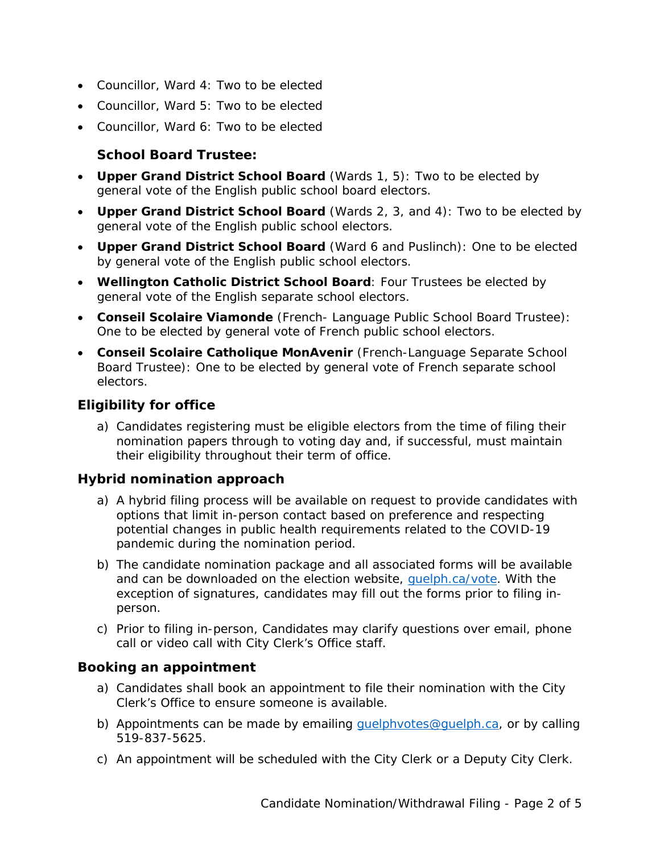- Councillor, Ward 4: Two to be elected
- Councillor, Ward 5: Two to be elected
- Councillor, Ward 6: Two to be elected

### **School Board Trustee:**

- **Upper Grand District School Board** (Wards 1, 5): Two to be elected by general vote of the English public school board electors.
- **Upper Grand District School Board** (Wards 2, 3, and 4): Two to be elected by general vote of the English public school electors.
- **Upper Grand District School Board** (Ward 6 and Puslinch): One to be elected by general vote of the English public school electors.
- **Wellington Catholic District School Board**: Four Trustees be elected by general vote of the English separate school electors.
- **Conseil Scolaire Viamonde** (French- Language Public School Board Trustee): One to be elected by general vote of French public school electors.
- **Conseil Scolaire Catholique MonAvenir** (French-Language Separate School Board Trustee): One to be elected by general vote of French separate school electors.

## **Eligibility for office**

a) Candidates registering must be eligible electors from the time of filing their nomination papers through to voting day and, if successful, must maintain their eligibility throughout their term of office.

#### **Hybrid nomination approach**

- a) A hybrid filing process will be available on request to provide candidates with options that limit in-person contact based on preference and respecting potential changes in public health requirements related to the COVID-19 pandemic during the nomination period.
- b) The candidate nomination package and all associated forms will be available and can be downloaded on the election website, [guelph.ca/vote.](https://vote.guelph.ca/) With the exception of signatures, candidates may fill out the forms prior to filing inperson.
- c) Prior to filing in-person, Candidates may clarify questions over email, phone call or video call with City Clerk's Office staff.

#### **Booking an appointment**

- a) Candidates shall book an appointment to file their nomination with the City Clerk's Office to ensure someone is available.
- b) Appointments can be made by emailing quelphyotes@guelph.ca, or by calling 519-837-5625.
- c) An appointment will be scheduled with the City Clerk or a Deputy City Clerk.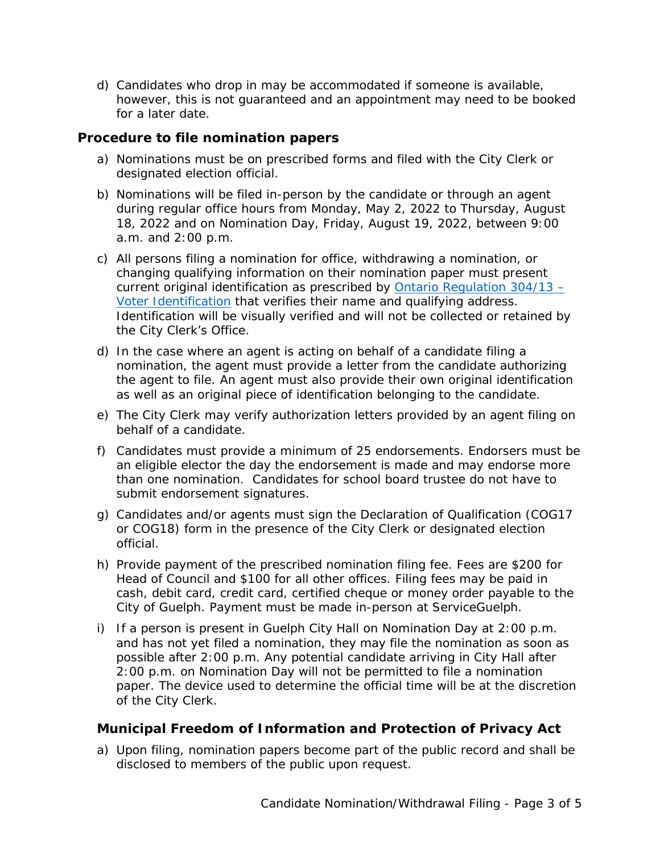d) Candidates who drop in may be accommodated if someone is available, however, this is not guaranteed and an appointment may need to be booked for a later date.

#### **Procedure to file nomination papers**

- a) Nominations must be on prescribed forms and filed with the City Clerk or designated election official.
- b) Nominations will be filed in-person by the candidate or through an agent during regular office hours from Monday, May 2, 2022 to Thursday, August 18, 2022 and on Nomination Day, Friday, August 19, 2022, between 9:00 a.m. and 2:00 p.m.
- c) All persons filing a nomination for office, withdrawing a nomination, or changing qualifying information on their nomination paper must present current original identification as prescribed by [Ontario Regulation 304/13 –](https://www.ontario.ca/laws/regulation/130304) [Voter Identification](https://www.ontario.ca/laws/regulation/130304) that verifies their name and qualifying address. Identification will be visually verified and will not be collected or retained by the City Clerk's Office.
- d) In the case where an agent is acting on behalf of a candidate filing a nomination, the agent must provide a letter from the candidate authorizing the agent to file. An agent must also provide their own original identification as well as an original piece of identification belonging to the candidate.
- e) The City Clerk may verify authorization letters provided by an agent filing on behalf of a candidate.
- f) Candidates must provide a minimum of 25 endorsements. Endorsers must be an eligible elector the day the endorsement is made and may endorse more than one nomination. Candidates for school board trustee do not have to submit endorsement signatures.
- g) Candidates and/or agents must sign the Declaration of Qualification (COG17 or COG18) form in the presence of the City Clerk or designated election official.
- h) Provide payment of the prescribed nomination filing fee. Fees are \$200 for Head of Council and \$100 for all other offices. Filing fees may be paid in cash, debit card, credit card, certified cheque or money order payable to the City of Guelph. Payment must be made in-person at ServiceGuelph.
- i) If a person is present in Guelph City Hall on Nomination Day at 2:00 p.m. and has not yet filed a nomination, they may file the nomination as soon as possible after 2:00 p.m. Any potential candidate arriving in City Hall after 2:00 p.m. on Nomination Day will not be permitted to file a nomination paper. The device used to determine the official time will be at the discretion of the City Clerk.

#### **Municipal Freedom of Information and Protection of Privacy Act**

a) Upon filing, nomination papers become part of the public record and shall be disclosed to members of the public upon request.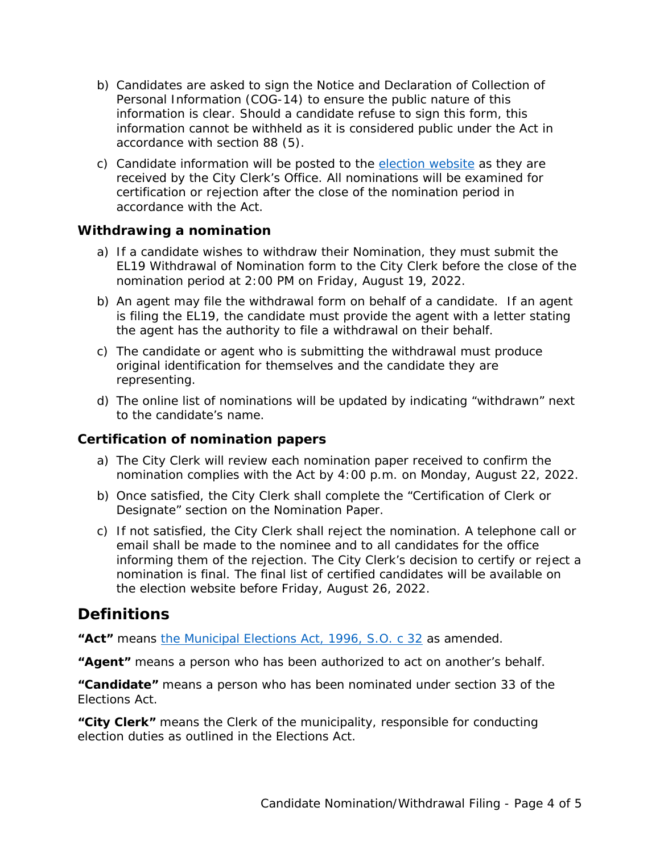- b) Candidates are asked to sign the Notice and Declaration of Collection of Personal Information (COG-14) to ensure the public nature of this information is clear. Should a candidate refuse to sign this form, this information cannot be withheld as it is considered public under the Act in accordance with section 88 (5).
- c) Candidate information will be posted to the [election website](http://www.guelph.ca/vote) as they are received by the City Clerk's Office. All nominations will be examined for certification or rejection after the close of the nomination period in accordance with the Act.

#### **Withdrawing a nomination**

- a) If a candidate wishes to withdraw their Nomination, they must submit the EL19 Withdrawal of Nomination form to the City Clerk before the close of the nomination period at 2:00 PM on Friday, August 19, 2022.
- b) An agent may file the withdrawal form on behalf of a candidate. If an agent is filing the EL19, the candidate must provide the agent with a letter stating the agent has the authority to file a withdrawal on their behalf.
- c) The candidate or agent who is submitting the withdrawal must produce original identification for themselves and the candidate they are representing.
- d) The online list of nominations will be updated by indicating "withdrawn" next to the candidate's name.

#### **Certification of nomination papers**

- a) The City Clerk will review each nomination paper received to confirm the nomination complies with the Act by 4:00 p.m. on Monday, August 22, 2022.
- b) Once satisfied, the City Clerk shall complete the "Certification of Clerk or Designate" section on the Nomination Paper.
- c) If not satisfied, the City Clerk shall reject the nomination. A telephone call or email shall be made to the nominee and to all candidates for the office informing them of the rejection. The City Clerk's decision to certify or reject a nomination is final. The final list of certified candidates will be available on the election website before Friday, August 26, 2022.

## **Definitions**

**"Act"** means [the Municipal Elections Act, 1996, S.O. c 32](https://www.ontario.ca/laws/statute/96m32%23BK103#top) as amended.

**"Agent"** means a person who has been authorized to act on another's behalf.

**"Candidate"** means a person who has been nominated under section 33 of the Elections Act.

**"City Clerk"** means the Clerk of the municipality, responsible for conducting election duties as outlined in the Elections Act.